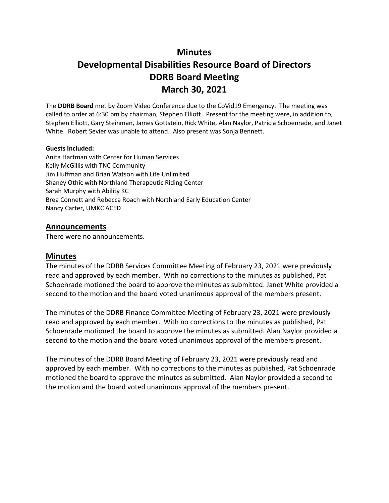# **Minutes**

# **Developmental Disabilities Resource Board of Directors DDRB Board Meeting March 30, 2021**

The **DDRB Board** met by Zoom Video Conference due to the CoVid19 Emergency. The meeting was called to order at 6:30 pm by chairman, Stephen Elliott. Present for the meeting were, in addition to, Stephen Elliott, Gary Steinman, James Gottstein, Rick White, Alan Naylor, Patricia Schoenrade, and Janet White. Robert Sevier was unable to attend. Also present was Sonja Bennett.

#### **Guests Included:**

Anita Hartman with Center for Human Services Kelly McGillis with TNC Community Jim Huffman and Brian Watson with Life Unlimited Shaney Othic with Northland Therapeutic Riding Center Sarah Murphy with Ability KC Brea Connett and Rebecca Roach with Northland Early Education Center Nancy Carter, UMKC ACED

#### **Announcements**

There were no announcements.

#### **Minutes**

The minutes of the DDRB Services Committee Meeting of February 23, 2021 were previously read and approved by each member. With no corrections to the minutes as published, Pat Schoenrade motioned the board to approve the minutes as submitted. Janet White provided a second to the motion and the board voted unanimous approval of the members present.

The minutes of the DDRB Finance Committee Meeting of February 23, 2021 were previously read and approved by each member. With no corrections to the minutes as published, Pat Schoenrade motioned the board to approve the minutes as submitted. Alan Naylor provided a second to the motion and the board voted unanimous approval of the members present.

The minutes of the DDRB Board Meeting of February 23, 2021 were previously read and approved by each member. With no corrections to the minutes as published, Pat Schoenrade motioned the board to approve the minutes as submitted. Alan Naylor provided a second to the motion and the board voted unanimous approval of the members present.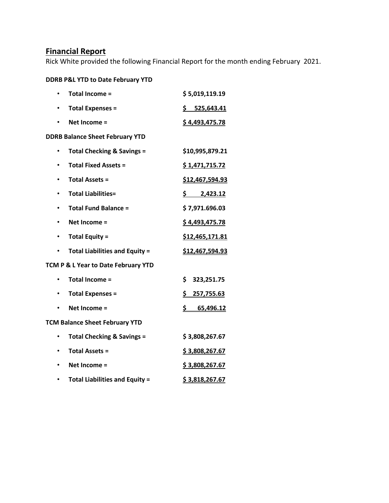## **Financial Report**

Rick White provided the following Financial Report for the month ending February 2021.

#### **DDRB P&L YTD to Date February YTD**

|                                     | <b>Total Income =</b>                  | \$5,019,119.19          |  |
|-------------------------------------|----------------------------------------|-------------------------|--|
|                                     | <b>Total Expenses =</b>                | \$525,643.41            |  |
|                                     | Net Income =                           | \$4,493,475.78          |  |
|                                     | <b>DDRB Balance Sheet February YTD</b> |                         |  |
|                                     | <b>Total Checking &amp; Savings =</b>  | \$10,995,879.21         |  |
|                                     | <b>Total Fixed Assets =</b>            | \$1,471,715.72          |  |
|                                     | <b>Total Assets =</b>                  | \$12,467,594.93         |  |
|                                     | <b>Total Liabilities=</b>              | \$2,423.12              |  |
| $\bullet$                           | <b>Total Fund Balance =</b>            | \$7,971.696.03          |  |
| $\bullet$                           | Net Income =                           | \$4,493,475.78          |  |
|                                     | <b>Total Equity =</b>                  | \$12,465,171.81         |  |
|                                     | <b>Total Liabilities and Equity =</b>  | \$12,467,594.93         |  |
| TCM P & L Year to Date February YTD |                                        |                         |  |
|                                     | <b>Total Income =</b>                  | \$<br>323,251.75        |  |
| $\bullet$                           | <b>Total Expenses =</b>                | \$257,755.63            |  |
|                                     | Net Income =                           | <u>\$_</u><br>65,496.12 |  |
|                                     | <b>TCM Balance Sheet February YTD</b>  |                         |  |
|                                     | <b>Total Checking &amp; Savings =</b>  | \$3,808,267.67          |  |
|                                     | <b>Total Assets =</b>                  | \$3,808,267.67          |  |
|                                     | Net Income =                           | \$3,808,267.67          |  |
|                                     | <b>Total Liabilities and Equity =</b>  | \$3,818,267.67          |  |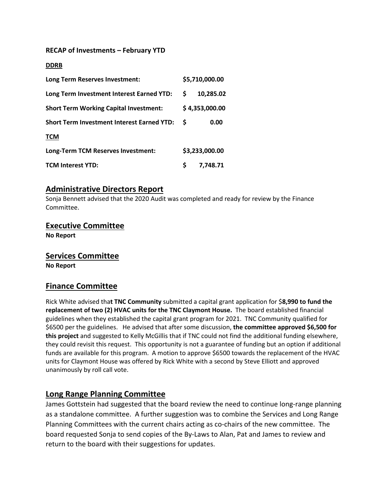#### **RECAP of Investments – February YTD**

#### **DDRB**

| Long Term Reserves Investment:                    |   | \$5,710,000.00 |
|---------------------------------------------------|---|----------------|
| Long Term Investment Interest Earned YTD:         | S | 10,285.02      |
| <b>Short Term Working Capital Investment:</b>     |   | \$4,353,000.00 |
| <b>Short Term Investment Interest Earned YTD:</b> | S | 0.00           |
| <b>TCM</b>                                        |   |                |
| Long-Term TCM Reserves Investment:                |   | \$3,233,000.00 |
| <b>TCM Interest YTD:</b>                          | Ś | 7,748.71       |

#### **Administrative Directors Report**

Sonja Bennett advised that the 2020 Audit was completed and ready for review by the Finance Committee.

#### **Executive Committee**

**No Report**

#### **Services Committee**

**No Report**

#### **Finance Committee**

Rick White advised tha**t TNC Community** submitted a capital grant application for \$**8,990 to fund the replacement of two (2) HVAC units for the TNC Claymont House.** The board established financial guidelines when they established the capital grant program for 2021. TNC Community qualified for \$6500 per the guidelines. He advised that after some discussion, **the committee approved \$6,500 for this project** and suggested to Kelly McGillis that if TNC could not find the additional funding elsewhere, they could revisit this request. This opportunity is not a guarantee of funding but an option if additional funds are available for this program. A motion to approve \$6500 towards the replacement of the HVAC units for Claymont House was offered by Rick White with a second by Steve Elliott and approved unanimously by roll call vote.

## **Long Range Planning Committee**

James Gottstein had suggested that the board review the need to continue long-range planning as a standalone committee. A further suggestion was to combine the Services and Long Range Planning Committees with the current chairs acting as co-chairs of the new committee. The board requested Sonja to send copies of the By-Laws to Alan, Pat and James to review and return to the board with their suggestions for updates.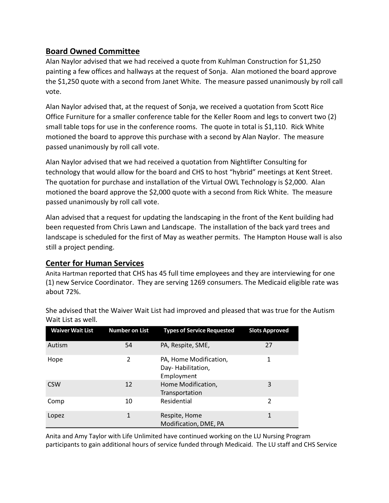# **Board Owned Committee**

Alan Naylor advised that we had received a quote from Kuhlman Construction for \$1,250 painting a few offices and hallways at the request of Sonja. Alan motioned the board approve the \$1,250 quote with a second from Janet White. The measure passed unanimously by roll call vote.

Alan Naylor advised that, at the request of Sonja, we received a quotation from Scott Rice Office Furniture for a smaller conference table for the Keller Room and legs to convert two (2) small table tops for use in the conference rooms. The quote in total is \$1,110. Rick White motioned the board to approve this purchase with a second by Alan Naylor. The measure passed unanimously by roll call vote.

Alan Naylor advised that we had received a quotation from Nightlifter Consulting for technology that would allow for the board and CHS to host "hybrid" meetings at Kent Street. The quotation for purchase and installation of the Virtual OWL Technology is \$2,000. Alan motioned the board approve the \$2,000 quote with a second from Rick White. The measure passed unanimously by roll call vote.

Alan advised that a request for updating the landscaping in the front of the Kent building had been requested from Chris Lawn and Landscape. The installation of the back yard trees and landscape is scheduled for the first of May as weather permits. The Hampton House wall is also still a project pending.

## **Center for Human Services**

Anita Hartman reported that CHS has 45 full time employees and they are interviewing for one (1) new Service Coordinator. They are serving 1269 consumers. The Medicaid eligible rate was about 72%.

| <b>Waiver Wait List</b> | <b>Number on List</b> | <b>Types of Service Requested</b>                         | <b>Slots Approved</b> |
|-------------------------|-----------------------|-----------------------------------------------------------|-----------------------|
| Autism                  | 54                    | PA, Respite, SME,                                         | 27                    |
| Hope                    | 2                     | PA, Home Modification,<br>Day-Habilitation,<br>Employment | 1                     |
| <b>CSW</b>              | 12                    | Home Modification,<br>Transportation                      | 3                     |
| Comp                    | 10                    | Residential                                               | 2                     |
| Lopez                   | 1                     | Respite, Home<br>Modification, DME, PA                    | 1                     |

She advised that the Waiver Wait List had improved and pleased that was true for the Autism Wait List as well.

Anita and Amy Taylor with Life Unlimited have continued working on the LU Nursing Program participants to gain additional hours of service funded through Medicaid. The LU staff and CHS Service